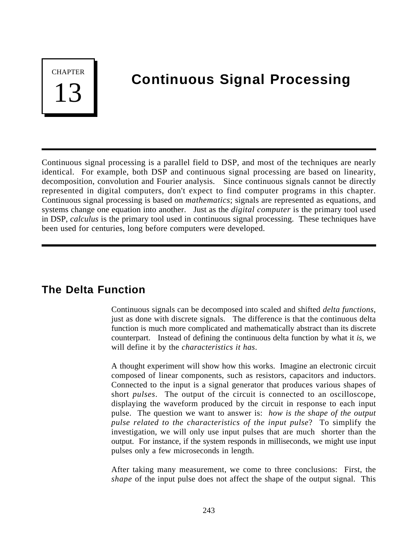**CHAPTER** 

# **Continuous Signal Processing**

Continuous signal processing is a parallel field to DSP, and most of the techniques are nearly identical. For example, both DSP and continuous signal processing are based on linearity, decomposition, convolution and Fourier analysis. Since continuous signals cannot be directly represented in digital computers, don't expect to find computer programs in this chapter. Continuous signal processing is based on *mathematics*; signals are represented as equations, and systems change one equation into another. Just as the *digital computer* is the primary tool used in DSP, *calculus* is the primary tool used in continuous signal processing. These techniques have been used for centuries, long before computers were developed.

## **The Delta Function**

Continuous signals can be decomposed into scaled and shifted *delta functions*, just as done with discrete signals. The difference is that the continuous delta function is much more complicated and mathematically abstract than its discrete counterpart. Instead of defining the continuous delta function by what it *is*, we will define it by the *characteristics it has*.

A thought experiment will show how this works. Imagine an electronic circuit composed of linear components, such as resistors, capacitors and inductors. Connected to the input is a signal generator that produces various shapes of short *pulses*. The output of the circuit is connected to an oscilloscope, displaying the waveform produced by the circuit in response to each input pulse. The question we want to answer is: *how is the shape of the output pulse related to the characteristics of the input pulse*? To simplify the investigation, we will only use input pulses that are much shorter than the output. For instance, if the system responds in milliseconds, we might use input pulses only a few microseconds in length.

After taking many measurement, we come to three conclusions: First, the *shape* of the input pulse does not affect the shape of the output signal. This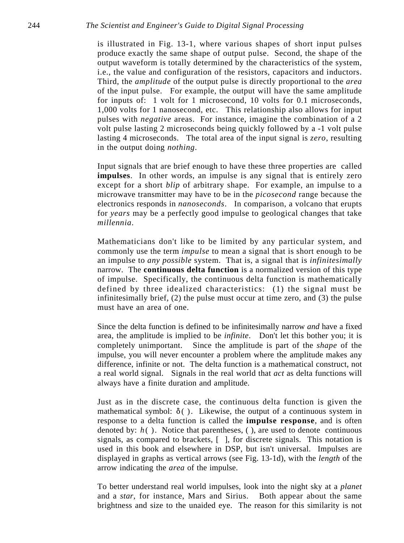is illustrated in Fig. 13-1, where various shapes of short input pulses produce exactly the same shape of output pulse. Second, the shape of the output waveform is totally determined by the characteristics of the system, i.e., the value and configuration of the resistors, capacitors and inductors. Third, the *amplitude* of the output pulse is directly proportional to the *area* of the input pulse. For example, the output will have the same amplitude for inputs of: 1 volt for 1 microsecond, 10 volts for 0.1 microseconds, 1,000 volts for 1 nanosecond, etc. This relationship also allows for input pulses with *negative* areas. For instance, imagine the combination of a 2 volt pulse lasting 2 microseconds being quickly followed by a -1 volt pulse lasting 4 microseconds. The total area of the input signal is *zero*, resulting in the output doing *nothing*.

Input signals that are brief enough to have these three properties are called **impulses**. In other words, an impulse is any signal that is entirely zero except for a short *blip* of arbitrary shape. For example, an impulse to a microwave transmitter may have to be in the *picosecond* range because the electronics responds in *nanoseconds*. In comparison, a volcano that erupts for *years* may be a perfectly good impulse to geological changes that take *millennia*.

Mathematicians don't like to be limited by any particular system, and commonly use the term *impulse* to mean a signal that is short enough to be an impulse to *any possible* system. That is, a signal that is *infinitesimally* narrow. The **continuous delta function** is a normalized version of this type of impulse. Specifically, the continuous delta function is mathematically defined by three idealized characteristics: (1) the signal must be infinitesimally brief, (2) the pulse must occur at time zero, and (3) the pulse must have an area of one.

Since the delta function is defined to be infinitesimally narrow *and* have a fixed area, the amplitude is implied to be *infinite*. Don't let this bother you; it is completely unimportant. Since the amplitude is part of the *shape* of the impulse, you will never encounter a problem where the amplitude makes any difference, infinite or not. The delta function is a mathematical construct, not a real world signal. Signals in the real world that *act* as delta functions will always have a finite duration and amplitude.

Just as in the discrete case, the continuous delta function is given the mathematical symbol:  $\delta$ ( ). Likewise, the output of a continuous system in response to a delta function is called the **impulse response**, and is often denoted by:  $h()$ . Notice that parentheses,  $()$ , are used to denote continuous signals, as compared to brackets, [ ], for discrete signals. This notation is used in this book and elsewhere in DSP, but isn't universal. Impulses are displayed in graphs as vertical arrows (see Fig. 13-1d), with the *length* of the arrow indicating the *area* of the impulse.

To better understand real world impulses, look into the night sky at a *planet* and a *star*, for instance, Mars and Sirius. Both appear about the same brightness and size to the unaided eye. The reason for this similarity is not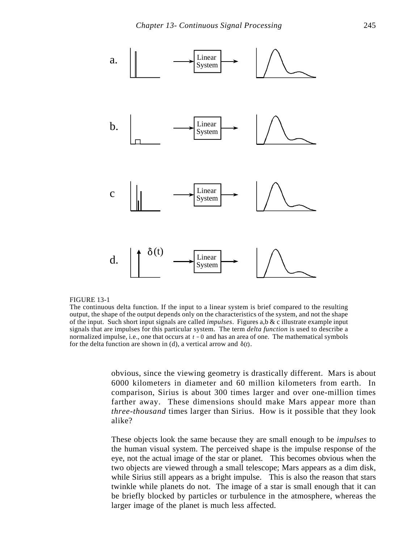

#### FIGURE 13-1

The continuous delta function. If the input to a linear system is brief compared to the resulting output, the shape of the output depends only on the characteristics of the system, and not the shape of the input. Such short input signals are called *impulses*. Figures a,b & c illustrate example input signals that are impulses for this particular system. The term *delta function* is used to describe a normalized impulse, i.e., one that occurs at  $t = 0$  and has an area of one. The mathematical symbols for the delta function are shown in (d), a vertical arrow and  $\delta(t)$ .

> obvious, since the viewing geometry is drastically different. Mars is about 6000 kilometers in diameter and 60 million kilometers from earth. In comparison, Sirius is about 300 times larger and over one-million times farther away. These dimensions should make Mars appear more than *three-thousand* times larger than Sirius. How is it possible that they look alike?

> These objects look the same because they are small enough to be *impulses* to the human visual system. The perceived shape is the impulse response of the eye, not the actual image of the star or planet. This becomes obvious when the two objects are viewed through a small telescope; Mars appears as a dim disk, while Sirius still appears as a bright impulse. This is also the reason that stars twinkle while planets do not. The image of a star is small enough that it can be briefly blocked by particles or turbulence in the atmosphere, whereas the larger image of the planet is much less affected.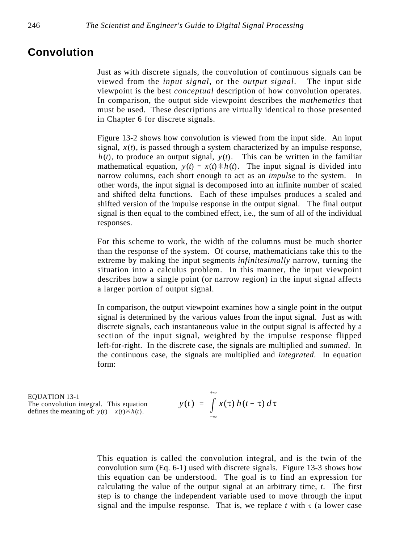### **Convolution**

Just as with discrete signals, the convolution of continuous signals can be viewed from the *input signal*, or the *output signal*. The input side viewpoint is the best *conceptual* description of how convolution operates. In comparison, the output side viewpoint describes the *mathematics* that must be used. These descriptions are virtually identical to those presented in Chapter 6 for discrete signals.

Figure 13-2 shows how convolution is viewed from the input side. An input signal,  $x(t)$ , is passed through a system characterized by an impulse response,  $h(t)$ , to produce an output signal,  $y(t)$ . This can be written in the familiar mathematical equation,  $y(t) = x(t) * h(t)$ . The input signal is divided into narrow columns, each short enough to act as an *impulse* to the system. In other words, the input signal is decomposed into an infinite number of scaled and shifted delta functions. Each of these impulses produces a scaled and shifted version of the impulse response in the output signal. The final output signal is then equal to the combined effect, i.e., the sum of all of the individual responses.

For this scheme to work, the width of the columns must be much shorter than the response of the system. Of course, mathematicians take this to the extreme by making the input segments *infinitesimally* narrow, turning the situation into a calculus problem. In this manner, the input viewpoint describes how a single point (or narrow region) in the input signal affects a larger portion of output signal.

In comparison, the output viewpoint examines how a single point in the output signal is determined by the various values from the input signal. Just as with discrete signals, each instantaneous value in the output signal is affected by a section of the input signal, weighted by the impulse response flipped left-for-right. In the discrete case, the signals are multiplied and *summed*. In the continuous case, the signals are multiplied and *integrated*. In equation form:

EQUATION 13-1 The convolution integral. This equation defines the meaning of:  $y(t) = x(t) * h(t)$ .

$$
y(t) = \int_{-\infty}^{+\infty} x(\tau) h(t-\tau) d\tau
$$

This equation is called the convolution integral, and is the twin of the convolution sum (Eq. 6-1) used with discrete signals. Figure 13-3 shows how this equation can be understood. The goal is to find an expression for calculating the value of the output signal at an arbitrary time, *t*. The first step is to change the independent variable used to move through the input signal and the impulse response. That is, we replace  $t$  with  $\tau$  (a lower case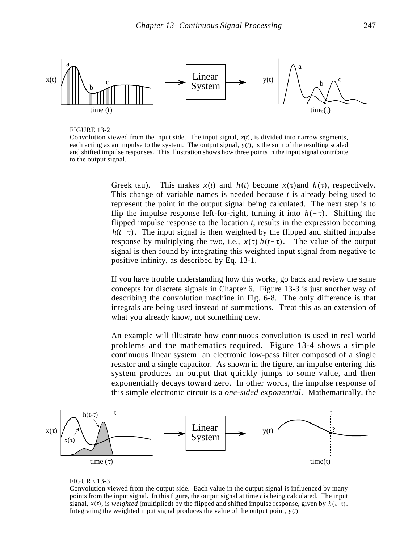

#### FIGURE 13-2

Convolution viewed from the input side. The input signal, *x*(*t*), is divided into narrow segments, each acting as an impulse to the system. The output signal, *y* (*t*), is the sum of the resulting scaled and shifted impulse responses. This illustration shows how three points in the input signal contribute to the output signal.

Greek tau). This makes  $x(t)$  and  $h(t)$  become  $x(\tau)$  and  $h(\tau)$ , respectively. This change of variable names is needed because *t* is already being used to represent the point in the output signal being calculated. The next step is to flip the impulse response left-for-right, turning it into  $h(-\tau)$ . Shifting the flipped impulse response to the location *t*, results in the expression becoming  $h(t-\tau)$ . The input signal is then weighted by the flipped and shifted impulse response by multiplying the two, i.e.,  $x(\tau)$   $h(t-\tau)$ . The value of the output signal is then found by integrating this weighted input signal from negative to positive infinity, as described by Eq. 13-1.

If you have trouble understanding how this works, go back and review the same concepts for discrete signals in Chapter 6. Figure 13-3 is just another way of describing the convolution machine in Fig. 6-8. The only difference is that integrals are being used instead of summations. Treat this as an extension of what you already know, not something new.

An example will illustrate how continuous convolution is used in real world problems and the mathematics required. Figure 13-4 shows a simple continuous linear system: an electronic low-pass filter composed of a single resistor and a single capacitor. As shown in the figure, an impulse entering this system produces an output that quickly jumps to some value, and then exponentially decays toward zero. In other words, the impulse response of this simple electronic circuit is a *one-sided exponential*. Mathematically, the



#### FIGURE 13-3

Convolution viewed from the output side. Each value in the output signal is influenced by many points from the input signal. In this figure, the output signal at time *t* is being calculated. The input signal,  $x(t)$ , is *weighted* (multiplied) by the flipped and shifted impulse response, given by  $h(t-\tau)$ . Integrating the weighted input signal produces the value of the output point,  $y(t)$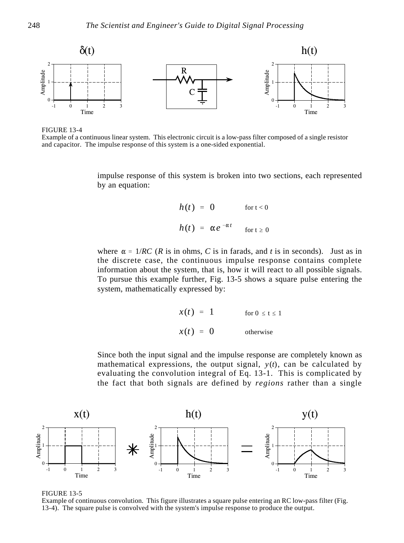

FIGURE 13-4

Example of a continuous linear system. This electronic circuit is a low-pass filter composed of a single resistor and capacitor. The impulse response of this system is a one-sided exponential.

impulse response of this system is broken into two sections, each represented by an equation:

$$
h(t) = 0 \qquad \text{for } t < 0
$$
  

$$
h(t) = \alpha e^{-\alpha t} \qquad \text{for } t \ge 0
$$

where  $\alpha = 1/RC$  (*R* is in ohms, *C* is in farads, and *t* is in seconds). Just as in the discrete case, the continuous impulse response contains complete information about the system, that is, how it will react to all possible signals. To pursue this example further, Fig. 13-5 shows a square pulse entering the system, mathematically expressed by:

$$
x(t) = 1 \qquad \text{for } 0 \le t \le 1
$$

$$
x(t) = 0 \qquad \text{otherwise}
$$

Since both the input signal and the impulse response are completely known as mathematical expressions, the output signal,  $y(t)$ , can be calculated by evaluating the convolution integral of Eq. 13-1. This is complicated by the fact that both signals are defined by *regions* rather than a single



FIGURE 13-5

Example of continuous convolution. This figure illustrates a square pulse entering an RC low-pass filter (Fig. 13-4). The square pulse is convolved with the system's impulse response to produce the output.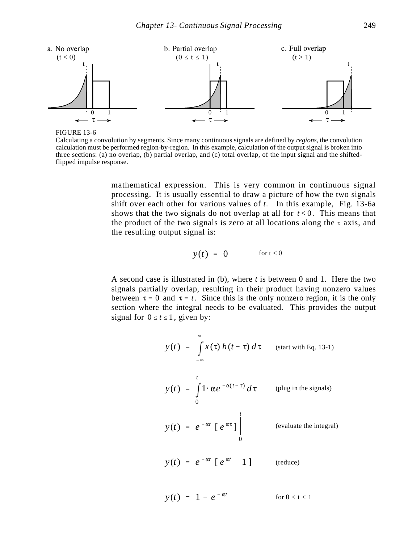

FIGURE 13-6

Calculating a convolution by segments. Since many continuous signals are defined by *regions*, the convolution calculation must be performed region-by-region. In this example, calculation of the output signal is broken into three sections: (a) no overlap, (b) partial overlap, and (c) total overlap, of the input signal and the shiftedflipped impulse response.

mathematical expression. This is very common in continuous signal processing. It is usually essential to draw a picture of how the two signals shift over each other for various values of *t*. In this example, Fig. 13-6a shows that the two signals do not overlap at all for  $t < 0$ . This means that the product of the two signals is zero at all locations along the  $\tau$  axis, and the resulting output signal is:

$$
y(t) = 0 \qquad \text{for } t < 0
$$

A second case is illustrated in (b), where *t* is between 0 and 1. Here the two signals partially overlap, resulting in their product having nonzero values between  $\tau = 0$  and  $\tau = t$ . Since this is the only nonzero region, it is the only section where the integral needs to be evaluated. This provides the output signal for  $0 \le t \le 1$ , given by:

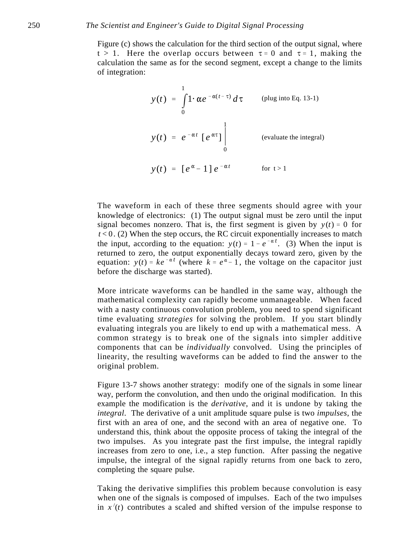Figure (c) shows the calculation for the third section of the output signal, where  $t > 1$ . Here the overlap occurs between  $\tau = 0$  and  $\tau = 1$ , making the calculation the same as for the second segment, except a change to the limits of integration:

| $y(t) = \int 1 \cdot \alpha e^{-\alpha(t-\tau)} d\tau$ | (plug into Eq. 13-1)    |
|--------------------------------------------------------|-------------------------|
| $y(t) = e^{-\alpha t} [e^{\alpha \tau}]$               | (evaluate the integral) |
| $y(t) = [e^{\alpha} - 1]e^{-\alpha t}$                 | for $t > 1$             |

The waveform in each of these three segments should agree with your knowledge of electronics: (1) The output signal must be zero until the input signal becomes nonzero. That is, the first segment is given by  $y(t) = 0$  for  $t < 0$ . (2) When the step occurs, the RC circuit exponentially increases to match the input, according to the equation:  $y(t) = 1 - e^{-\alpha t}$ . (3) When the input is returned to zero, the output exponentially decays toward zero, given by the equation:  $y(t) = ke^{-\alpha t}$  (where  $k = e^{\alpha} - 1$ , the voltage on the capacitor just before the discharge was started).

More intricate waveforms can be handled in the same way, although the mathematical complexity can rapidly become unmanageable. When faced with a nasty continuous convolution problem, you need to spend significant time evaluating *strategies* for solving the problem. If you start blindly evaluating integrals you are likely to end up with a mathematical mess. A common strategy is to break one of the signals into simpler additive components that can be *individually* convolved. Using the principles of linearity, the resulting waveforms can be added to find the answer to the original problem.

Figure 13-7 shows another strategy: modify one of the signals in some linear way, perform the convolution, and then undo the original modification. In this example the modification is the *derivative*, and it is undone by taking the *integral*. The derivative of a unit amplitude square pulse is two *impulses*, the first with an area of one, and the second with an area of negative one. To understand this, think about the opposite process of taking the integral of the two impulses. As you integrate past the first impulse, the integral rapidly increases from zero to one, i.e., a step function. After passing the negative impulse, the integral of the signal rapidly returns from one back to zero, completing the square pulse.

Taking the derivative simplifies this problem because convolution is easy when one of the signals is composed of impulses. Each of the two impulses in  $x'(t)$  contributes a scaled and shifted version of the impulse response to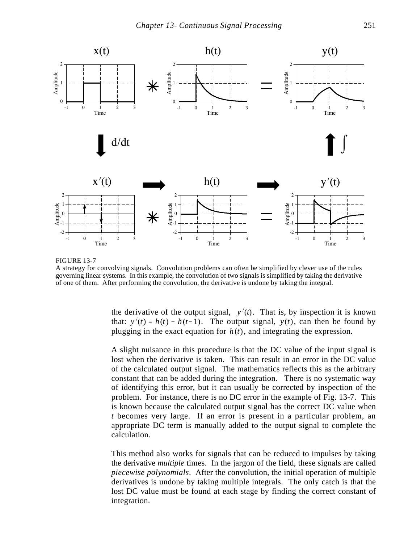

FIGURE 13-7

A strategy for convolving signals. Convolution problems can often be simplified by clever use of the rules governing linear systems. In this example, the convolution of two signals is simplified by taking the derivative of one of them. After performing the convolution, the derivative is undone by taking the integral.

the derivative of the output signal,  $y'(t)$ . That is, by inspection it is known that:  $y'(t) = h(t) - h(t-1)$ . The output signal,  $y(t)$ , can then be found by plugging in the exact equation for  $h(t)$ , and integrating the expression.

A slight nuisance in this procedure is that the DC value of the input signal is lost when the derivative is taken. This can result in an error in the DC value of the calculated output signal. The mathematics reflects this as the arbitrary constant that can be added during the integration. There is no systematic way of identifying this error, but it can usually be corrected by inspection of the problem. For instance, there is no DC error in the example of Fig. 13-7. This is known because the calculated output signal has the correct DC value when *t* becomes very large. If an error is present in a particular problem, an appropriate DC term is manually added to the output signal to complete the calculation.

This method also works for signals that can be reduced to impulses by taking the derivative *multiple* times. In the jargon of the field, these signals are called *piecewise polynomials*. After the convolution, the initial operation of multiple derivatives is undone by taking multiple integrals. The only catch is that the lost DC value must be found at each stage by finding the correct constant of integration.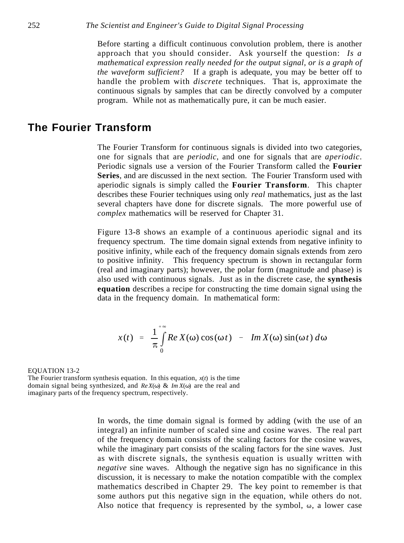Before starting a difficult continuous convolution problem, there is another approach that you should consider. Ask yourself the question: *Is a mathematical expression really needed for the output signal, or is a graph of the waveform sufficient?* If a graph is adequate, you may be better off to handle the problem with *discrete* techniques. That is, approximate the continuous signals by samples that can be directly convolved by a computer program. While not as mathematically pure, it can be much easier.

### **The Fourier Transform**

The Fourier Transform for continuous signals is divided into two categories, one for signals that are *periodic*, and one for signals that are *aperiodic*. Periodic signals use a version of the Fourier Transform called the **Fourier Series**, and are discussed in the next section. The Fourier Transform used with aperiodic signals is simply called the **Fourier Transform**. This chapter describes these Fourier techniques using only *real* mathematics, just as the last several chapters have done for discrete signals. The more powerful use of *complex* mathematics will be reserved for Chapter 31.

Figure 13-8 shows an example of a continuous aperiodic signal and its frequency spectrum. The time domain signal extends from negative infinity to positive infinity, while each of the frequency domain signals extends from zero to positive infinity. This frequency spectrum is shown in rectangular form (real and imaginary parts); however, the polar form (magnitude and phase) is also used with continuous signals. Just as in the discrete case, the **synthesis equation** describes a recipe for constructing the time domain signal using the data in the frequency domain. In mathematical form:

$$
x(t) = \frac{1}{\pi} \int_{0}^{+\infty} Re X(\omega) \cos(\omega t) - Im X(\omega) \sin(\omega t) d\omega
$$

EQUATION 13-2 The Fourier transform synthesis equation. In this equation,  $x(t)$  is the time domain signal being synthesized, and  $Re X(\omega) \& Im X(\omega)$  are the real and imaginary parts of the frequency spectrum, respectively.

> In words, the time domain signal is formed by adding (with the use of an integral) an infinite number of scaled sine and cosine waves. The real part of the frequency domain consists of the scaling factors for the cosine waves, while the imaginary part consists of the scaling factors for the sine waves. Just as with discrete signals, the synthesis equation is usually written with *negative* sine waves. Although the negative sign has no significance in this discussion, it is necessary to make the notation compatible with the complex mathematics described in Chapter 29. The key point to remember is that some authors put this negative sign in the equation, while others do not. Also notice that frequency is represented by the symbol,  $\omega$ , a lower case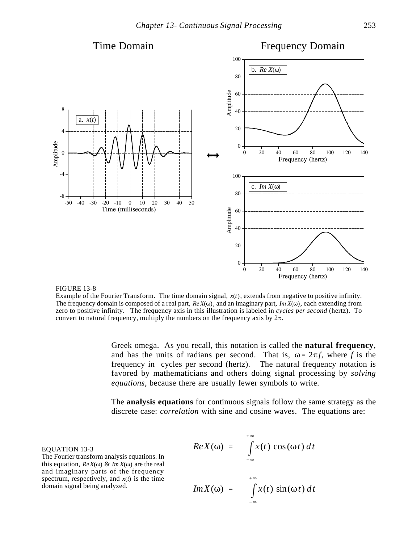

### FIGURE 13-8

Example of the Fourier Transform. The time domain signal, *x*(*t*), extends from negative to positive infinity. The frequency domain is composed of a real part,  $ReX(\omega)$ , and an imaginary part, *Im*  $X(\omega)$ , each extending from zero to positive infinity. The frequency axis in this illustration is labeled in *cycles per second* (hertz). To convert to natural frequency, multiply the numbers on the frequency axis by  $2\pi$ .

Greek omega. As you recall, this notation is called the **natural frequency**, and has the units of radians per second. That is,  $\omega = 2\pi f$ , where *f* is the frequency in cycles per second (hertz). The natural frequency notation is favored by mathematicians and others doing signal processing by *solving equations*, because there are usually fewer symbols to write.

The **analysis equations** for continuous signals follow the same strategy as the discrete case: *correlation* with sine and cosine waves. The equations are:

### *x*(*t*) cos(T*t*) *dt* EQUATION 13-3

The Fourier transform analysis equations. In this equation,  $Re X(\omega) \& Im X(\omega)$  are the real and imaginary parts of the frequency spectrum, respectively, and *x*(*t*) is the time domain signal being analyzed.

$$
Re X(\omega) = \int_{-\infty}^{+\infty} x(t) \cos(\omega t) dt
$$

$$
Im X(\omega) = -\int_{-\infty}^{+\infty} x(t) \sin(\omega t) dt
$$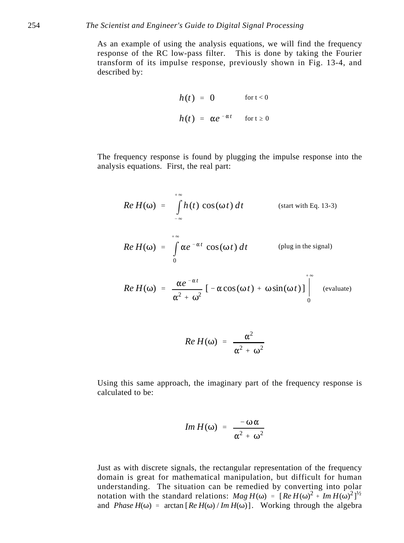As an example of using the analysis equations, we will find the frequency response of the RC low-pass filter. This is done by taking the Fourier transform of its impulse response, previously shown in Fig. 13-4, and described by:

$$
h(t) = 0 \qquad \text{for } t < 0
$$
  

$$
h(t) = \alpha e^{-\alpha t} \qquad \text{for } t \ge 0
$$

The frequency response is found by plugging the impulse response into the analysis equations. First, the real part:

$$
Re\,H(\omega) = \int_{-\infty}^{+\infty} h(t)\,\cos(\omega t)\,dt \qquad \text{(start with Eq. 13-3)}
$$

$$
Re\ H(\omega) = \int\limits_0^\infty \alpha e^{-\alpha t} \cos(\omega t) dt
$$
 (plug in the signal)

 $+ \infty$ 

$$
Re\,H(\omega) = \frac{\alpha e^{-\alpha t}}{\alpha^2 + \omega^2} \left[ -\alpha \cos(\omega t) + \omega \sin(\omega t) \right]_0^{+\infty}
$$
 (evaluate)

$$
Re\,H(\omega) = \frac{\alpha^2}{\alpha^2 + \omega^2}
$$

Using this same approach, the imaginary part of the frequency response is calculated to be:

$$
Im H(\omega) = \frac{-\omega \alpha}{\alpha^2 + \omega^2}
$$

Just as with discrete signals, the rectangular representation of the frequency domain is great for mathematical manipulation, but difficult for human understanding. The situation can be remedied by converting into polar notation with the standard relations: *Mag H*( $\omega$ ) =  $[Re H(\omega)^2 + Im H(\omega)^2]^{1/2}$ and *Phase*  $H(\omega)$  = arctan [ $Re H(\omega) / Im H(\omega)$ ]. Working through the algebra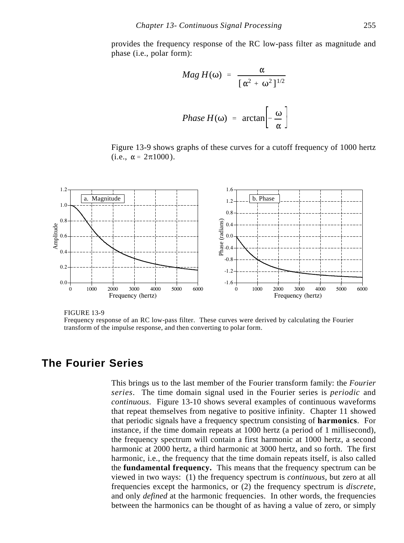provides the frequency response of the RC low-pass filter as magnitude and phase (i.e., polar form):

$$
Mag H(\omega) = \frac{\alpha}{[\alpha^2 + \omega^2]^{1/2}}
$$
  

$$
Phase H(\omega) = \arctan\left[-\frac{\omega}{\alpha}\right]
$$

Figure 13-9 shows graphs of these curves for a cutoff frequency of 1000 hertz (i.e.,  $\alpha = 2\pi 1000$ ).



FIGURE 13-9

Frequency response of an RC low-pass filter. These curves were derived by calculating the Fourier transform of the impulse response, and then converting to polar form.

### **The Fourier Series**

This brings us to the last member of the Fourier transform family: the *Fourier series*. The time domain signal used in the Fourier series is *periodic* and *continuous*. Figure 13-10 shows several examples of continuous waveforms that repeat themselves from negative to positive infinity. Chapter 11 showed that periodic signals have a frequency spectrum consisting of **harmonics**. For instance, if the time domain repeats at 1000 hertz (a period of 1 millisecond), the frequency spectrum will contain a first harmonic at 1000 hertz, a second harmonic at 2000 hertz, a third harmonic at 3000 hertz, and so forth. The first harmonic, i.e., the frequency that the time domain repeats itself, is also called the **fundamental frequency.** This means that the frequency spectrum can be viewed in two ways: (1) the frequency spectrum is *continuous*, but zero at all frequencies except the harmonics, or (2) the frequency spectrum is *discrete*, and only *defined* at the harmonic frequencies. In other words, the frequencies between the harmonics can be thought of as having a value of zero, or simply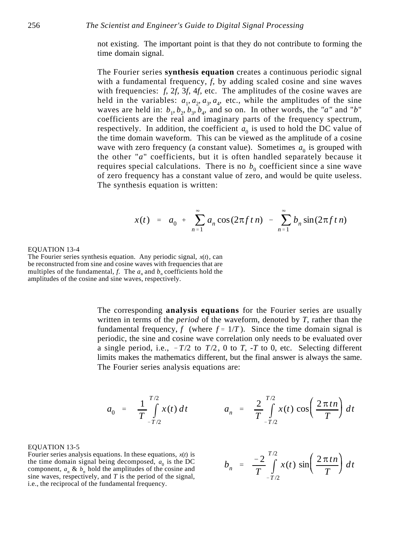not existing. The important point is that they do not contribute to forming the time domain signal.

The Fourier series **synthesis equation** creates a continuous periodic signal with a fundamental frequency, *f*, by adding scaled cosine and sine waves with frequencies: *f*, 2*f*, 3*f*, 4*f*, etc. The amplitudes of the cosine waves are held in the variables:  $a_1, a_2, a_3, a_4$ , etc., while the amplitudes of the sine waves are held in:  $b_1$ ,  $b_2$ ,  $b_3$ ,  $b_4$ , and so on. In other words, the "a" and "b" coefficients are the real and imaginary parts of the frequency spectrum, respectively. In addition, the coefficient  $a_0$  is used to hold the DC value of the time domain waveform. This can be viewed as the amplitude of a cosine wave with zero frequency (a constant value). Sometimes  $a_0$  is grouped with the other "*a*" coefficients, but it is often handled separately because it requires special calculations. There is no  $b<sub>0</sub>$  coefficient since a sine wave of zero frequency has a constant value of zero, and would be quite useless. The synthesis equation is written:

$$
x(t) = a_0 + \sum_{n=1}^{\infty} a_n \cos(2\pi f t n) - \sum_{n=1}^{\infty} b_n \sin(2\pi f t n)
$$

EQUATION 13-4

The Fourier series synthesis equation. Any periodic signal, *x*(*t*), can be reconstructed from sine and cosine waves with frequencies that are multiples of the fundamental,  $f$ . The  $a_n$  and  $b_n$  coefficients hold the amplitudes of the cosine and sine waves, respectively.

> The corresponding **analysis equations** for the Fourier series are usually written in terms of the *period* of the waveform, denoted by *T*, rather than the fundamental frequency,  $f$  (where  $f = 1/T$ ). Since the time domain signal is periodic, the sine and cosine wave correlation only needs to be evaluated over a single period, i.e.,  $-T/2$  to  $T/2$ , 0 to  $T$ ,  $-T$  to 0, etc. Selecting different limits makes the mathematics different, but the final answer is always the same. The Fourier series analysis equations are:

$$
a_0 = \frac{1}{T} \int_{-T/2}^{T/2} x(t) dt \qquad a_n = \frac{2}{T} \int_{-T/2}^{T/2} x(t) \cos\left(\frac{2\pi tn}{T}\right) dt
$$

### EQUATION 13-5

Fourier series analysis equations. In these equations, *x*(*t*) is the time domain signal being decomposed,  $a_0$  is the DC component,  $a_n \& b_n$  hold the amplitudes of the cosine and sine waves, respectively, and  $T$  is the period of the signal, i.e., the reciprocal of the fundamental frequency.

$$
b_n = \frac{-2}{T} \int_{-T/2}^{T/2} x(t) \sin\left(\frac{2\pi tn}{T}\right) dt
$$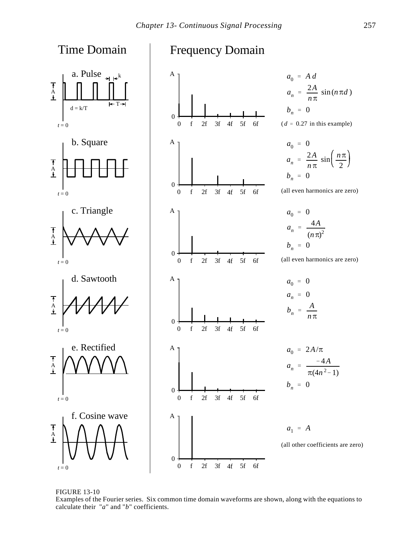

FIGURE 13-10

Examples of the Fourier series. Six common time domain waveforms are shown, along with the equations to calculate their "*a*" and "*b*" coefficients.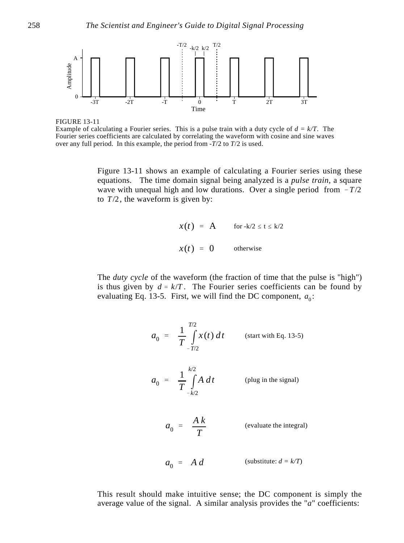

FIGURE 13-11

Example of calculating a Fourier series. This is a pulse train with a duty cycle of  $d = k/T$ . The Fourier series coefficients are calculated by correlating the waveform with cosine and sine waves over any full period. In this example, the period from  $-7/2$  to  $T/2$  is used.

Figure 13-11 shows an example of calculating a Fourier series using these equations. The time domain signal being analyzed is a *pulse train*, a square wave with unequal high and low durations. Over a single period from  $-T/2$ to  $T/2$ , the waveform is given by:

$$
x(t) = A \qquad \text{for } -k/2 \le t \le k/2
$$

$$
x(t) = 0 \qquad \text{otherwise}
$$

The *duty cycle* of the waveform (the fraction of time that the pulse is "high") is thus given by  $d = k/T$ . The Fourier series coefficients can be found by evaluating Eq. 13-5. First, we will find the DC component,  $a_0$ :

$$
a_0 = \frac{1}{T} \int_{-T/2}^{T/2} x(t) dt
$$
 (start with Eq. 13-5)  

$$
a_0 = \frac{1}{T} \int_{-k/2}^{k/2} A dt
$$
 (plug in the signal)  

$$
a_0 = \frac{A k}{T}
$$
 (evaluate the integral)

*T*

$$
a_0 = A d \qquad \qquad \text{(substitute: } d = k/T)
$$

This result should make intuitive sense; the DC component is simply the average value of the signal. A similar analysis provides the "*a*" coefficients: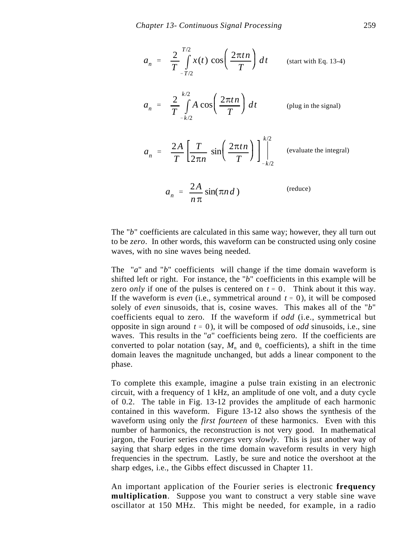$$
a_n = \frac{2}{T} \int_{-T/2}^{T/2} x(t) \cos\left(\frac{2\pi tn}{T}\right) dt \qquad \text{(start with Eq. 13-4)}
$$
\n
$$
a_n = \frac{2}{T} \int_{-k/2}^{k/2} A \cos\left(\frac{2\pi tn}{T}\right) dt \qquad \text{(plug in the signal)}
$$
\n
$$
a_n = \frac{2A}{T} \left[\frac{T}{2\pi n} \sin\left(\frac{2\pi tn}{T}\right)\right]_{-k/2}^{k/2} \qquad \text{(evaluate the integral)}
$$
\n
$$
a_n = \frac{2A}{n\pi} \sin(\pi nd) \qquad \text{(reduce)}
$$

The "*b*" coefficients are calculated in this same way; however, they all turn out to be *zero*. In other words, this waveform can be constructed using only cosine waves, with no sine waves being needed.

The "*a*" and "*b*" coefficients will change if the time domain waveform is shifted left or right. For instance, the "*b*" coefficients in this example will be zero *only* if one of the pulses is centered on  $t = 0$ . Think about it this way. If the waveform is *even* (i.e., symmetrical around  $t = 0$ ), it will be composed solely of *even* sinusoids, that is, cosine waves. This makes all of the "*b*" coefficients equal to zero. If the waveform if *odd* (i.e., symmetrical but opposite in sign around  $t = 0$ ), it will be composed of *odd* sinusoids, i.e., sine waves. This results in the "*a*" coefficients being zero. If the coefficients are converted to polar notation (say,  $M_n$  and  $\theta_n$  coefficients), a shift in the time domain leaves the magnitude unchanged, but adds a linear component to the phase.

To complete this example, imagine a pulse train existing in an electronic circuit, with a frequency of 1 kHz, an amplitude of one volt, and a duty cycle of 0.2. The table in Fig. 13-12 provides the amplitude of each harmonic contained in this waveform. Figure 13-12 also shows the synthesis of the waveform using only the *first fourteen* of these harmonics. Even with this number of harmonics, the reconstruction is not very good. In mathematical jargon, the Fourier series *converges* very *slowly*. This is just another way of saying that sharp edges in the time domain waveform results in very high frequencies in the spectrum. Lastly, be sure and notice the overshoot at the sharp edges, i.e., the Gibbs effect discussed in Chapter 11.

An important application of the Fourier series is electronic **frequency multiplication**. Suppose you want to construct a very stable sine wave oscillator at 150 MHz. This might be needed, for example, in a radio